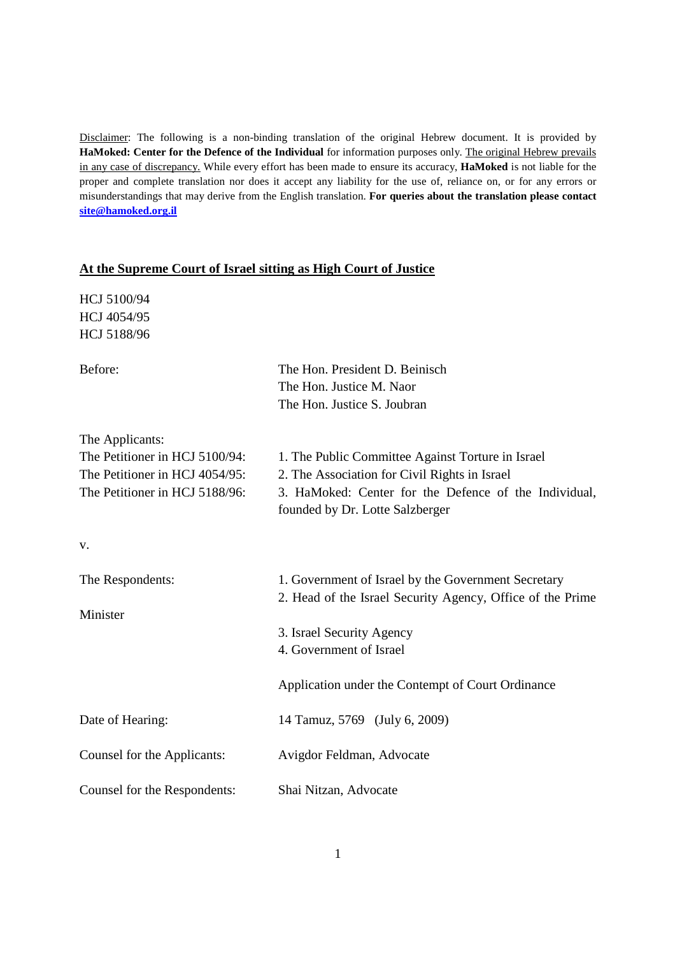Disclaimer: The following is a non-binding translation of the original Hebrew document. It is provided by **HaMoked: Center for the Defence of the Individual** for information purposes only. The original Hebrew prevails in any case of discrepancy. While every effort has been made to ensure its accuracy, **HaMoked** is not liable for the proper and complete translation nor does it accept any liability for the use of, reliance on, or for any errors or misunderstandings that may derive from the English translation. **For queries about the translation please contact site@hamoked.org.il**

## **At the Supreme Court of Israel sitting as High Court of Justice**

HCJ 5100/94 HCJ 4054/95 HCJ 5188/96

| Before:                                                                                                               | The Hon. President D. Beinisch<br>The Hon. Justice M. Naor<br>The Hon. Justice S. Joubran                                                                                                      |
|-----------------------------------------------------------------------------------------------------------------------|------------------------------------------------------------------------------------------------------------------------------------------------------------------------------------------------|
| The Applicants:<br>The Petitioner in HCJ 5100/94:<br>The Petitioner in HCJ 4054/95:<br>The Petitioner in HCJ 5188/96: | 1. The Public Committee Against Torture in Israel<br>2. The Association for Civil Rights in Israel<br>3. HaMoked: Center for the Defence of the Individual,<br>founded by Dr. Lotte Salzberger |
| v.                                                                                                                    |                                                                                                                                                                                                |
| The Respondents:<br>Minister                                                                                          | 1. Government of Israel by the Government Secretary<br>2. Head of the Israel Security Agency, Office of the Prime                                                                              |
|                                                                                                                       | 3. Israel Security Agency<br>4. Government of Israel                                                                                                                                           |
|                                                                                                                       | Application under the Contempt of Court Ordinance                                                                                                                                              |
| Date of Hearing:                                                                                                      | 14 Tamuz, 5769 (July 6, 2009)                                                                                                                                                                  |
| Counsel for the Applicants:                                                                                           | Avigdor Feldman, Advocate                                                                                                                                                                      |
| Counsel for the Respondents:                                                                                          | Shai Nitzan, Advocate                                                                                                                                                                          |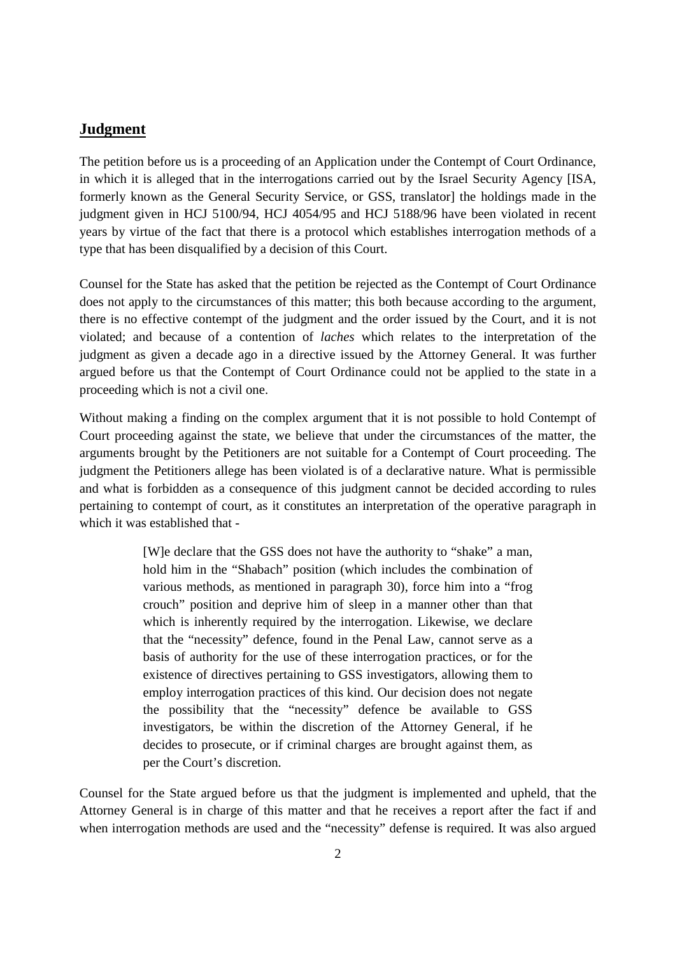## **Judgment**

The petition before us is a proceeding of an Application under the Contempt of Court Ordinance, in which it is alleged that in the interrogations carried out by the Israel Security Agency [ISA, formerly known as the General Security Service, or GSS, translator] the holdings made in the judgment given in HCJ 5100/94, HCJ 4054/95 and HCJ 5188/96 have been violated in recent years by virtue of the fact that there is a protocol which establishes interrogation methods of a type that has been disqualified by a decision of this Court.

Counsel for the State has asked that the petition be rejected as the Contempt of Court Ordinance does not apply to the circumstances of this matter; this both because according to the argument, there is no effective contempt of the judgment and the order issued by the Court, and it is not violated; and because of a contention of *laches* which relates to the interpretation of the judgment as given a decade ago in a directive issued by the Attorney General. It was further argued before us that the Contempt of Court Ordinance could not be applied to the state in a proceeding which is not a civil one.

Without making a finding on the complex argument that it is not possible to hold Contempt of Court proceeding against the state, we believe that under the circumstances of the matter, the arguments brought by the Petitioners are not suitable for a Contempt of Court proceeding. The judgment the Petitioners allege has been violated is of a declarative nature. What is permissible and what is forbidden as a consequence of this judgment cannot be decided according to rules pertaining to contempt of court, as it constitutes an interpretation of the operative paragraph in which it was established that -

> [W]e declare that the GSS does not have the authority to "shake" a man, hold him in the "Shabach" position (which includes the combination of various methods, as mentioned in paragraph 30), force him into a "frog crouch" position and deprive him of sleep in a manner other than that which is inherently required by the interrogation. Likewise, we declare that the "necessity" defence, found in the Penal Law, cannot serve as a basis of authority for the use of these interrogation practices, or for the existence of directives pertaining to GSS investigators, allowing them to employ interrogation practices of this kind. Our decision does not negate the possibility that the "necessity" defence be available to GSS investigators, be within the discretion of the Attorney General, if he decides to prosecute, or if criminal charges are brought against them, as per the Court's discretion.

Counsel for the State argued before us that the judgment is implemented and upheld, that the Attorney General is in charge of this matter and that he receives a report after the fact if and when interrogation methods are used and the "necessity" defense is required. It was also argued